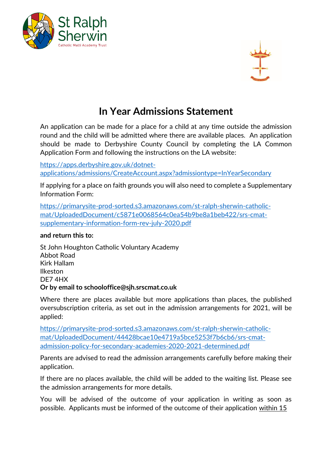



## **In Year Admissions Statement**

An application can be made for a place for a child at any time outside the admission round and the child will be admitted where there are available places. An application should be made to Derbyshire County Council by completing the LA Common Application Form and following the instructions on the LA website:

[https://apps.derbyshire.gov.uk/dotnet](https://apps.derbyshire.gov.uk/dotnet-applications/admissions/CreateAccount.aspx?admissiontype=InYearSecondary)[applications/admissions/CreateAccount.aspx?admissiontype=InYearSecondary](https://apps.derbyshire.gov.uk/dotnet-applications/admissions/CreateAccount.aspx?admissiontype=InYearSecondary)

If applying for a place on faith grounds you will also need to complete a Supplementary Information Form:

[https://primarysite-prod-sorted.s3.amazonaws.com/st-ralph-sherwin-catholic](https://primarysite-prod-sorted.s3.amazonaws.com/st-ralph-sherwin-catholic-mat/UploadedDocument/c5871e0068564c0ea54b9be8a1beb422/srs-cmat-supplementary-information-form-rev-july-2020.pdf)[mat/UploadedDocument/c5871e0068564c0ea54b9be8a1beb422/srs-cmat](https://primarysite-prod-sorted.s3.amazonaws.com/st-ralph-sherwin-catholic-mat/UploadedDocument/c5871e0068564c0ea54b9be8a1beb422/srs-cmat-supplementary-information-form-rev-july-2020.pdf)[supplementary-information-form-rev-july-2020.pdf](https://primarysite-prod-sorted.s3.amazonaws.com/st-ralph-sherwin-catholic-mat/UploadedDocument/c5871e0068564c0ea54b9be8a1beb422/srs-cmat-supplementary-information-form-rev-july-2020.pdf)

## **and return this to:**

St John Houghton Catholic Voluntary Academy Abbot Road Kirk Hallam Ilkeston DE7 4HX **Or by email to schooloffice@sjh.srscmat.co.uk**

Where there are places available but more applications than places, the published oversubscription criteria, as set out in the admission arrangements for 2021, will be applied:

[https://primarysite-prod-sorted.s3.amazonaws.com/st-ralph-sherwin-catholic](https://primarysite-prod-sorted.s3.amazonaws.com/st-ralph-sherwin-catholic-mat/UploadedDocument/44428bcae10e4719a5bce5253f7b6cb6/srs-cmat-admission-policy-for-secondary-academies-2020-2021-determined.pdf)[mat/UploadedDocument/44428bcae10e4719a5bce5253f7b6cb6/srs-cmat](https://primarysite-prod-sorted.s3.amazonaws.com/st-ralph-sherwin-catholic-mat/UploadedDocument/44428bcae10e4719a5bce5253f7b6cb6/srs-cmat-admission-policy-for-secondary-academies-2020-2021-determined.pdf)[admission-policy-for-secondary-academies-2020-2021-determined.pdf](https://primarysite-prod-sorted.s3.amazonaws.com/st-ralph-sherwin-catholic-mat/UploadedDocument/44428bcae10e4719a5bce5253f7b6cb6/srs-cmat-admission-policy-for-secondary-academies-2020-2021-determined.pdf)

Parents are advised to read the admission arrangements carefully before making their application.

If there are no places available, the child will be added to the waiting list. Please see the admission arrangements for more details.

You will be advised of the outcome of your application in writing as soon as possible. Applicants must be informed of the outcome of their application within 15